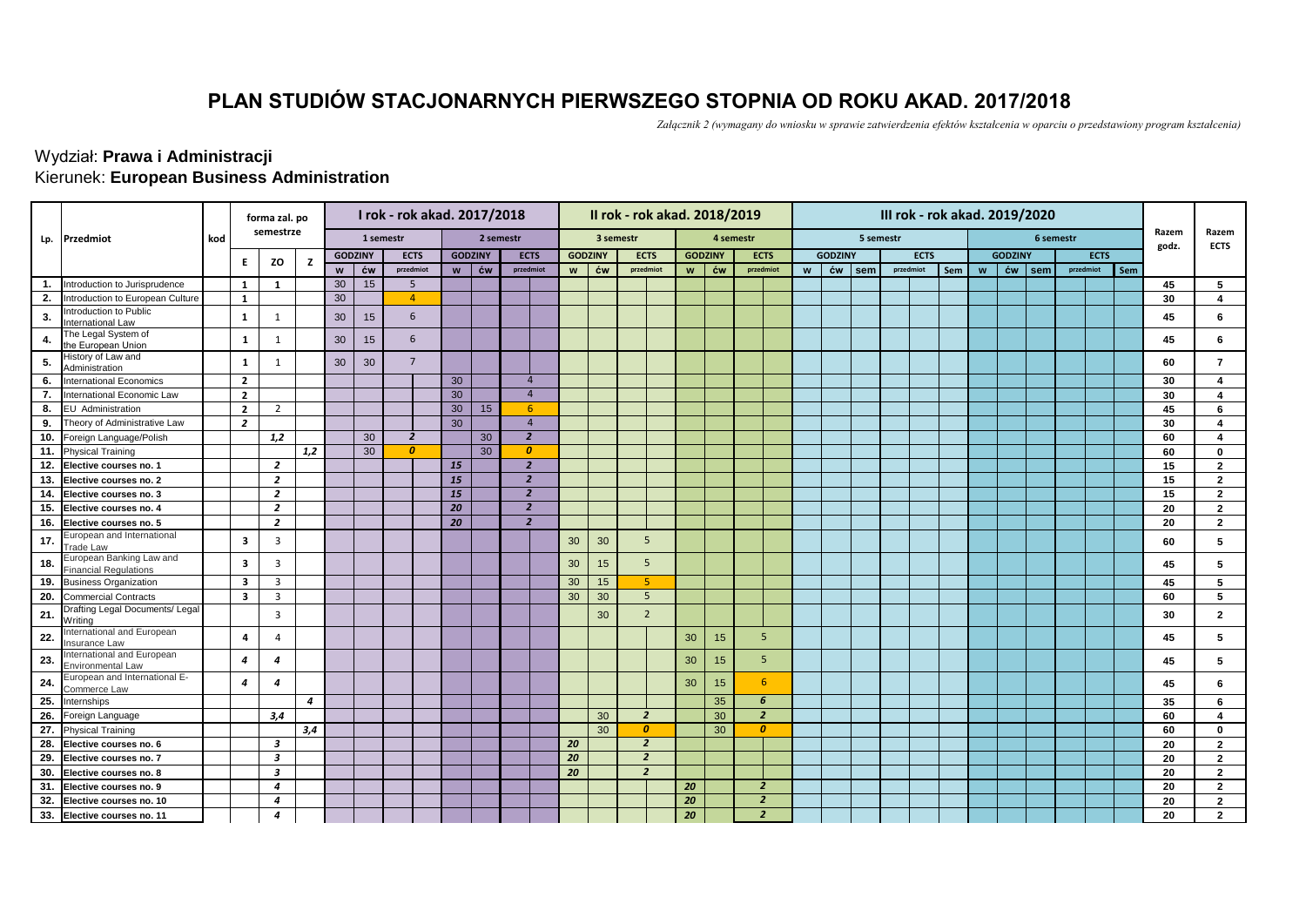## **PLAN STUDIÓW STACJONARNYCH PIERWSZEGO STOPNIA OD ROKU AKAD. 2017/2018**

*Załącznik 2 (wymagany do wniosku w sprawie zatwierdzenia efektów kształcenia w oparciu o przedstawiony program kształcenia)*

## Kierunek: **European Business Administration** Wydział: **Prawa i Administracji**

|                   |                                                          |     | forma zal. po  |                |     |                |           | I rok - rok akad. 2017/2018 |                |                |                        |    |                | II rok - rok akad. 2018/2019 |                  |           |                         | III rok - rok akad. 2019/2020 |                |           |             |  |     |   |                |           |           |             |     |                |                         |
|-------------------|----------------------------------------------------------|-----|----------------|----------------|-----|----------------|-----------|-----------------------------|----------------|----------------|------------------------|----|----------------|------------------------------|------------------|-----------|-------------------------|-------------------------------|----------------|-----------|-------------|--|-----|---|----------------|-----------|-----------|-------------|-----|----------------|-------------------------|
| Lp.               | Przedmiot                                                | kod |                | semestrze      |     |                | 1 semestr |                             |                | 2 semestr      |                        |    |                | 3 semestr                    |                  | 4 semestr |                         |                               |                | 5 semestr |             |  |     |   |                | 6 semestr |           |             |     | Razem<br>godz. | Razem<br><b>ECTS</b>    |
|                   |                                                          |     | Е.             | ZO             | z   | <b>GODZINY</b> |           | <b>ECTS</b>                 |                | <b>GODZINY</b> | <b>ECTS</b>            |    | <b>GODZINY</b> | <b>ECTS</b>                  | <b>GODZINY</b>   |           | <b>ECTS</b>             |                               | <b>GODZINY</b> |           | <b>ECTS</b> |  |     |   | <b>GODZINY</b> |           |           | <b>ECTS</b> |     |                |                         |
|                   |                                                          |     |                |                |     | W              | ćw        | przedmiot                   | w <sub>1</sub> | ćw             | przedmiot              | W  | ĆW             | przedmiot                    | $w$ $\acute{c}w$ |           | przedmiot               | W                             | ćw             | sem       | przedmiot   |  | Sem | w | ćw             | sem       | przedmiot |             | Sem |                |                         |
| $\overline{1}$ .  | Introduction to Jurisprudence                            |     | 1              | 1              |     | 30             | 15        | -5                          |                |                |                        |    |                |                              |                  |           |                         |                               |                |           |             |  |     |   |                |           |           |             |     | 45             | 5                       |
| 2.                | Introduction to European Culture                         |     | $\mathbf{1}$   |                |     | 30             |           | $\overline{4}$              |                |                |                        |    |                |                              |                  |           |                         |                               |                |           |             |  |     |   |                |           |           |             |     | 30             | $\overline{\mathbf{4}}$ |
| 3.                | Introduction to Public<br>International Law              |     | 1              | $\mathbf{1}$   |     | 30             | 15        | 6                           |                |                |                        |    |                |                              |                  |           |                         |                               |                |           |             |  |     |   |                |           |           |             |     | 45             | 6                       |
| 4.                | The Legal System of<br>the European Union                |     | 1              | 1              |     | 30             | 15        | 6                           |                |                |                        |    |                |                              |                  |           |                         |                               |                |           |             |  |     |   |                |           |           |             |     | 45             | 6                       |
| 5.                | History of Law and<br>Administration                     |     | $\mathbf{1}$   | $\mathbf{1}$   |     | 30             | 30        | $\overline{7}$              |                |                |                        |    |                |                              |                  |           |                         |                               |                |           |             |  |     |   |                |           |           |             |     | 60             | $\overline{7}$          |
| 6.                | <b>International Economics</b>                           |     | $\mathbf{2}$   |                |     |                |           |                             | 30             |                | $\boldsymbol{\Lambda}$ |    |                |                              |                  |           |                         |                               |                |           |             |  |     |   |                |           |           |             |     | 30             | $\overline{\mathbf{4}}$ |
| 7.                | International Economic Law                               |     | $\mathbf{2}$   |                |     |                |           |                             | 30             |                | $\overline{4}$         |    |                |                              |                  |           |                         |                               |                |           |             |  |     |   |                |           |           |             |     | 30             | $\overline{4}$          |
| 8.                | <b>EU</b> Administration                                 |     | $\overline{2}$ | $\overline{2}$ |     |                |           |                             | 30             | 15             | -6                     |    |                |                              |                  |           |                         |                               |                |           |             |  |     |   |                |           |           |             |     | 45             | 6                       |
| 9.                | Theory of Administrative Law                             |     | $\overline{2}$ |                |     |                |           |                             | 30             |                | $\overline{4}$         |    |                |                              |                  |           |                         |                               |                |           |             |  |     |   |                |           |           |             |     | 30             | $\overline{\mathbf{A}}$ |
| 10.               | Foreign Language/Polish                                  |     |                | 1,2            |     |                | 30        | $\overline{2}$              |                | 30             | $\overline{2}$         |    |                |                              |                  |           |                         |                               |                |           |             |  |     |   |                |           |           |             |     | 60             | $\overline{\bf{4}}$     |
| 11.               | <b>Physical Training</b>                                 |     |                |                | 1,2 |                | 30        | $\theta$                    |                | 30             | $\boldsymbol{0}$       |    |                |                              |                  |           |                         |                               |                |           |             |  |     |   |                |           |           |             |     | 60             | $\mathbf{0}$            |
| 12.               | Elective courses no. 1                                   |     |                | $\overline{2}$ |     |                |           |                             | <b>15</b>      |                | $\overline{2}$         |    |                |                              |                  |           |                         |                               |                |           |             |  |     |   |                |           |           |             |     | 15             | $\overline{2}$          |
| 13.               | Elective courses no. 2                                   |     |                | $\overline{2}$ |     |                |           |                             | <b>15</b>      |                | $\overline{2}$         |    |                |                              |                  |           |                         |                               |                |           |             |  |     |   |                |           |           |             |     | 15             | $\overline{2}$          |
| 14.               | Elective courses no. 3                                   |     |                | $\overline{z}$ |     |                |           |                             | <b>15</b>      |                | $\overline{2}$         |    |                |                              |                  |           |                         |                               |                |           |             |  |     |   |                |           |           |             |     | 15             | $\overline{2}$          |
| 15.               | Elective courses no. 4                                   |     |                | $\overline{2}$ |     |                |           |                             | 20             |                | $\overline{2}$         |    |                |                              |                  |           |                         |                               |                |           |             |  |     |   |                |           |           |             |     | 20             | $\overline{2}$          |
| 16.               | Elective courses no. 5                                   |     |                | $\overline{2}$ |     |                |           |                             | 20             |                | $\overline{2}$         |    |                |                              |                  |           |                         |                               |                |           |             |  |     |   |                |           |           |             |     | 20             | $\overline{2}$          |
| 17.               | European and International<br>Trade Law                  |     | 3              | 3              |     |                |           |                             |                |                |                        | 30 | 30             | 5                            |                  |           |                         |                               |                |           |             |  |     |   |                |           |           |             |     | 60             | 5                       |
| 18.               | European Banking Law and<br><b>Financial Regulations</b> |     | 3              | 3              |     |                |           |                             |                |                |                        | 30 | 15             | 5                            |                  |           |                         |                               |                |           |             |  |     |   |                |           |           |             |     | 45             | 5                       |
| 19.               | <b>Business Organization</b>                             |     | 3              | $\overline{3}$ |     |                |           |                             |                |                |                        | 30 | 15             | -5.                          |                  |           |                         |                               |                |           |             |  |     |   |                |           |           |             |     | 45             | 5                       |
| 20.               | <b>Commercial Contracts</b>                              |     | 3              | $\overline{3}$ |     |                |           |                             |                |                |                        | 30 | 30             | 5                            |                  |           |                         |                               |                |           |             |  |     |   |                |           |           |             |     | 60             | 5                       |
| 21.               | Drafting Legal Documents/ Legal<br>Writing               |     |                | 3              |     |                |           |                             |                |                |                        |    | 30             | $\overline{2}$               |                  |           |                         |                               |                |           |             |  |     |   |                |           |           |             |     | 30             | $\overline{2}$          |
| 22.               | nternational and European<br>nsurance Law                |     | 4              | 4              |     |                |           |                             |                |                |                        |    |                |                              | 30               | 15        | 5 <sup>1</sup>          |                               |                |           |             |  |     |   |                |           |           |             |     | 45             | 5                       |
| 23.               | International and European<br>Environmental Law          |     | 4              | 4              |     |                |           |                             |                |                |                        |    |                |                              | 30               | 15        | 5 <sup>5</sup>          |                               |                |           |             |  |     |   |                |           |           |             |     | 45             | 5                       |
| 24                | European and International E-<br>Commerce Law            |     | $\overline{4}$ | 4              |     |                |           |                             |                |                |                        |    |                |                              | 30               | 15        | 6                       |                               |                |           |             |  |     |   |                |           |           |             |     | 45             | 6                       |
| 25.               | Internships                                              |     |                |                | 4   |                |           |                             |                |                |                        |    |                |                              |                  | 35        | 6                       |                               |                |           |             |  |     |   |                |           |           |             |     | 35             | 6                       |
| 26.               | Foreign Language                                         |     |                | 3,4            |     |                |           |                             |                |                |                        |    | 30             | $\overline{2}$               |                  | 30        | $\overline{2}$          |                               |                |           |             |  |     |   |                |           |           |             |     | 60             | $\overline{4}$          |
| $\overline{27}$ . | <b>Physical Training</b>                                 |     |                |                | 3,4 |                |           |                             |                |                |                        |    | 30             | $\boldsymbol{0}$             |                  | 30        | $\boldsymbol{0}$        |                               |                |           |             |  |     |   |                |           |           |             |     | 60             | $\mathbf{0}$            |
| 28.               | Elective courses no. 6                                   |     |                | 3              |     |                |           |                             |                |                |                        | 20 |                | $\overline{2}$               |                  |           |                         |                               |                |           |             |  |     |   |                |           |           |             |     | 20             | $\overline{2}$          |
| 29.               | Elective courses no. 7                                   |     |                | 3              |     |                |           |                             |                |                |                        | 20 |                | $\overline{2}$               |                  |           |                         |                               |                |           |             |  |     |   |                |           |           |             |     | 20             | $\overline{2}$          |
| 30.               | Elective courses no. 8                                   |     |                | 3              |     |                |           |                             |                |                |                        | 20 |                | $\overline{2}$               |                  |           |                         |                               |                |           |             |  |     |   |                |           |           |             |     | 20             | $\overline{2}$          |
| 31.               | Elective courses no. 9                                   |     |                | 4              |     |                |           |                             |                |                |                        |    |                |                              | 20               |           | $\overline{\mathbf{z}}$ |                               |                |           |             |  |     |   |                |           |           |             |     | 20             | $\overline{2}$          |
| 32.               | Elective courses no. 10                                  |     |                | 4              |     |                |           |                             |                |                |                        |    |                |                              | 20               |           | $\overline{2}$          |                               |                |           |             |  |     |   |                |           |           |             |     | 20             | $\mathbf{2}$            |
|                   | 33. Elective courses no. 11                              |     |                | 4              |     |                |           |                             |                |                |                        |    |                |                              | 20               |           | $\overline{2}$          |                               |                |           |             |  |     |   |                |           |           |             |     | 20             | $\overline{2}$          |